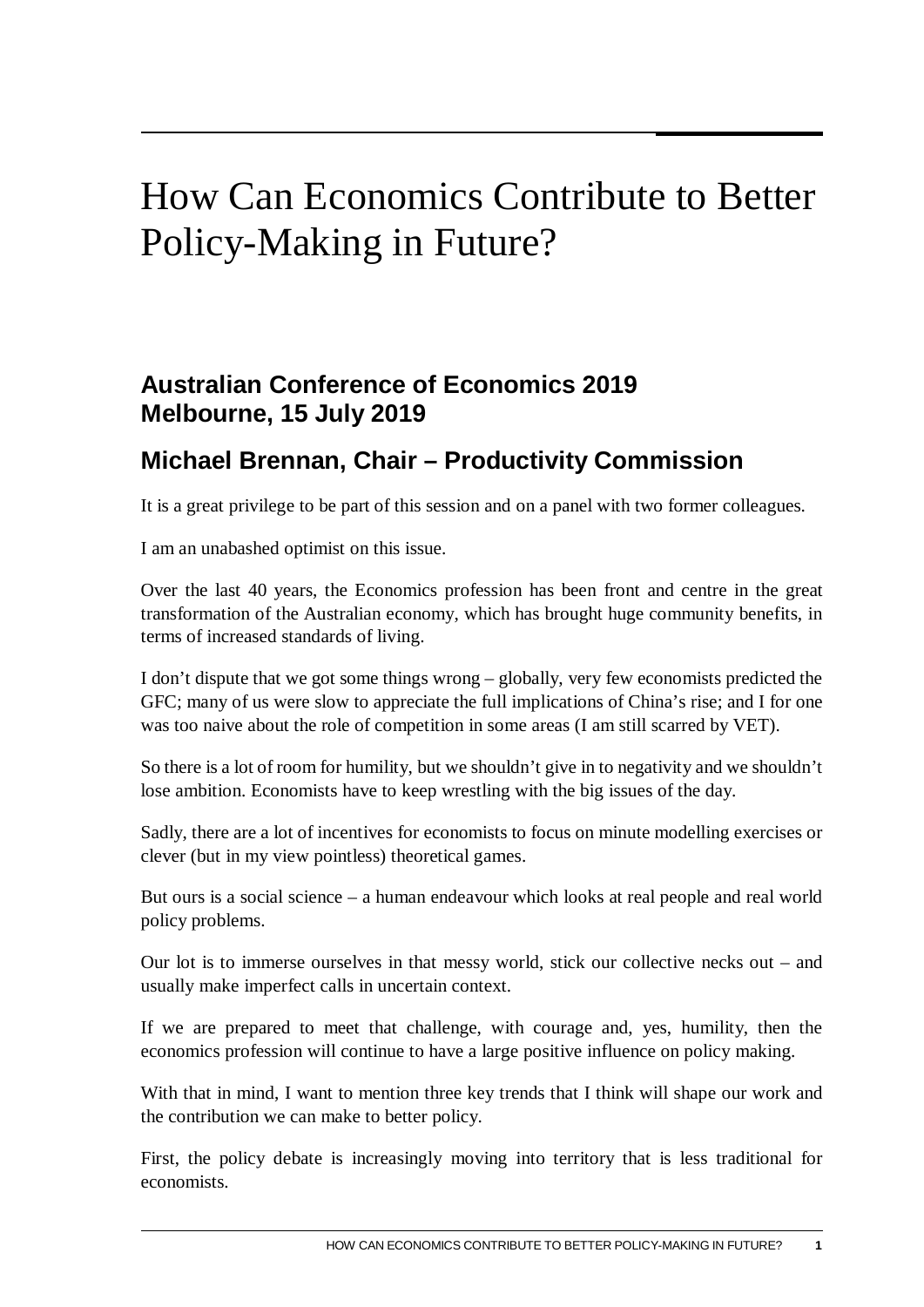## How Can Economics Contribute to Better Policy-Making in Future?

## **Australian Conference of Economics 2019 Melbourne, 15 July 2019**

## **Michael Brennan, Chair – Productivity Commission**

It is a great privilege to be part of this session and on a panel with two former colleagues.

I am an unabashed optimist on this issue.

Over the last 40 years, the Economics profession has been front and centre in the great transformation of the Australian economy, which has brought huge community benefits, in terms of increased standards of living.

I don't dispute that we got some things wrong – globally, very few economists predicted the GFC; many of us were slow to appreciate the full implications of China's rise; and I for one was too naive about the role of competition in some areas (I am still scarred by VET).

So there is a lot of room for humility, but we shouldn't give in to negativity and we shouldn't lose ambition. Economists have to keep wrestling with the big issues of the day.

Sadly, there are a lot of incentives for economists to focus on minute modelling exercises or clever (but in my view pointless) theoretical games.

But ours is a social science – a human endeavour which looks at real people and real world policy problems.

Our lot is to immerse ourselves in that messy world, stick our collective necks out – and usually make imperfect calls in uncertain context.

If we are prepared to meet that challenge, with courage and, yes, humility, then the economics profession will continue to have a large positive influence on policy making.

With that in mind, I want to mention three key trends that I think will shape our work and the contribution we can make to better policy.

First, the policy debate is increasingly moving into territory that is less traditional for economists.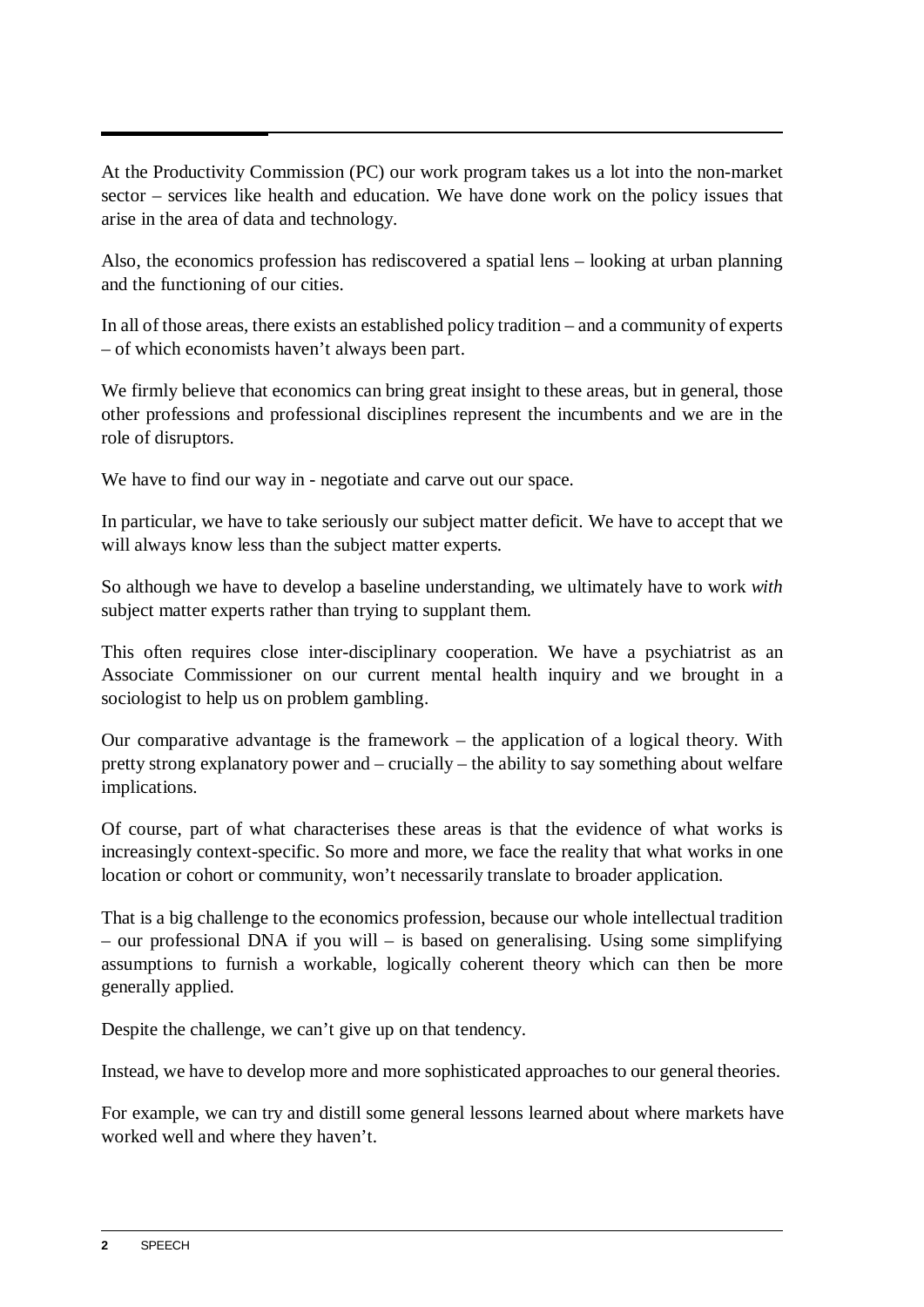At the Productivity Commission (PC) our work program takes us a lot into the non-market sector – services like health and education. We have done work on the policy issues that arise in the area of data and technology.

Also, the economics profession has rediscovered a spatial lens – looking at urban planning and the functioning of our cities.

In all of those areas, there exists an established policy tradition – and a community of experts – of which economists haven't always been part.

We firmly believe that economics can bring great insight to these areas, but in general, those other professions and professional disciplines represent the incumbents and we are in the role of disruptors.

We have to find our way in - negotiate and carve out our space.

In particular, we have to take seriously our subject matter deficit. We have to accept that we will always know less than the subject matter experts.

So although we have to develop a baseline understanding, we ultimately have to work *with* subject matter experts rather than trying to supplant them.

This often requires close inter-disciplinary cooperation. We have a psychiatrist as an Associate Commissioner on our current mental health inquiry and we brought in a sociologist to help us on problem gambling.

Our comparative advantage is the framework – the application of a logical theory. With pretty strong explanatory power and – crucially – the ability to say something about welfare implications.

Of course, part of what characterises these areas is that the evidence of what works is increasingly context-specific. So more and more, we face the reality that what works in one location or cohort or community, won't necessarily translate to broader application.

That is a big challenge to the economics profession, because our whole intellectual tradition – our professional DNA if you will – is based on generalising. Using some simplifying assumptions to furnish a workable, logically coherent theory which can then be more generally applied.

Despite the challenge, we can't give up on that tendency.

Instead, we have to develop more and more sophisticated approaches to our general theories.

For example, we can try and distill some general lessons learned about where markets have worked well and where they haven't.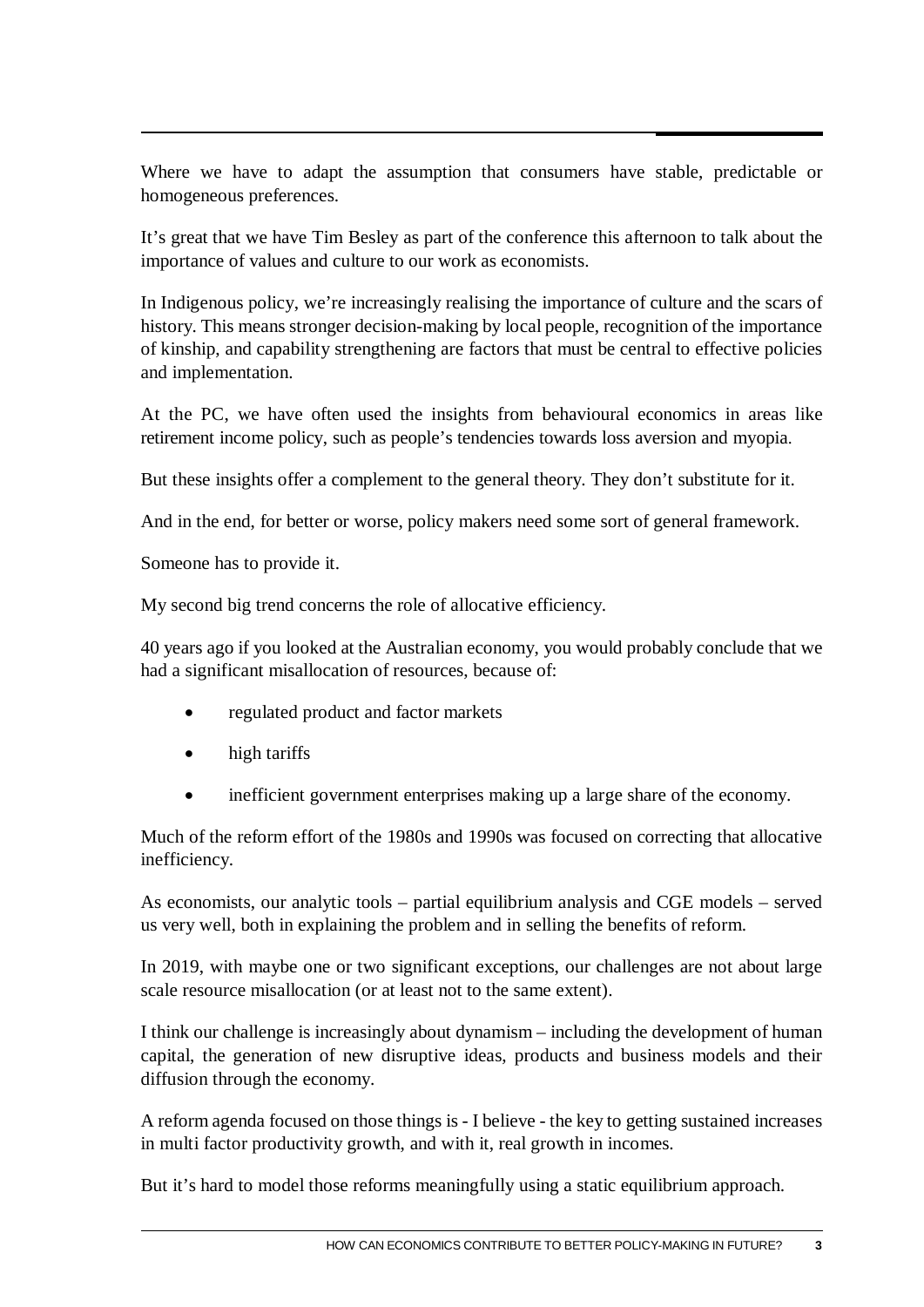Where we have to adapt the assumption that consumers have stable, predictable or homogeneous preferences.

It's great that we have Tim Besley as part of the conference this afternoon to talk about the importance of values and culture to our work as economists.

In Indigenous policy, we're increasingly realising the importance of culture and the scars of history. This means stronger decision-making by local people, recognition of the importance of kinship, and capability strengthening are factors that must be central to effective policies and implementation.

At the PC, we have often used the insights from behavioural economics in areas like retirement income policy, such as people's tendencies towards loss aversion and myopia.

But these insights offer a complement to the general theory. They don't substitute for it.

And in the end, for better or worse, policy makers need some sort of general framework.

Someone has to provide it.

My second big trend concerns the role of allocative efficiency.

40 years ago if you looked at the Australian economy, you would probably conclude that we had a significant misallocation of resources, because of:

- regulated product and factor markets
- high tariffs
- inefficient government enterprises making up a large share of the economy.

Much of the reform effort of the 1980s and 1990s was focused on correcting that allocative inefficiency.

As economists, our analytic tools – partial equilibrium analysis and CGE models – served us very well, both in explaining the problem and in selling the benefits of reform.

In 2019, with maybe one or two significant exceptions, our challenges are not about large scale resource misallocation (or at least not to the same extent).

I think our challenge is increasingly about dynamism – including the development of human capital, the generation of new disruptive ideas, products and business models and their diffusion through the economy.

A reform agenda focused on those things is - I believe - the key to getting sustained increases in multi factor productivity growth, and with it, real growth in incomes.

But it's hard to model those reforms meaningfully using a static equilibrium approach.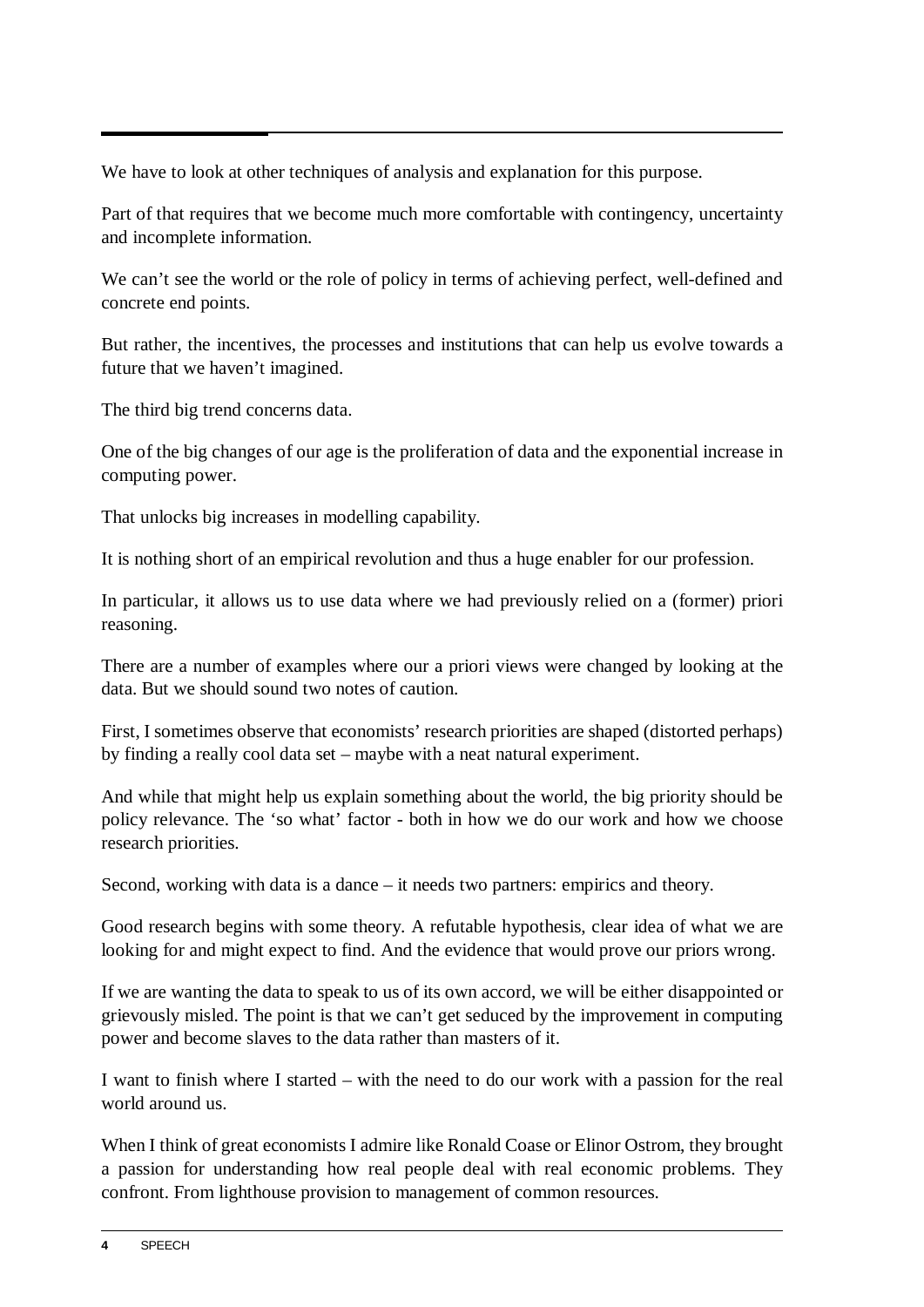We have to look at other techniques of analysis and explanation for this purpose.

Part of that requires that we become much more comfortable with contingency, uncertainty and incomplete information.

We can't see the world or the role of policy in terms of achieving perfect, well-defined and concrete end points.

But rather, the incentives, the processes and institutions that can help us evolve towards a future that we haven't imagined.

The third big trend concerns data.

One of the big changes of our age is the proliferation of data and the exponential increase in computing power.

That unlocks big increases in modelling capability.

It is nothing short of an empirical revolution and thus a huge enabler for our profession.

In particular, it allows us to use data where we had previously relied on a (former) priori reasoning.

There are a number of examples where our a priori views were changed by looking at the data. But we should sound two notes of caution.

First, I sometimes observe that economists' research priorities are shaped (distorted perhaps) by finding a really cool data set – maybe with a neat natural experiment.

And while that might help us explain something about the world, the big priority should be policy relevance. The 'so what' factor - both in how we do our work and how we choose research priorities.

Second, working with data is a dance – it needs two partners: empirics and theory.

Good research begins with some theory. A refutable hypothesis, clear idea of what we are looking for and might expect to find. And the evidence that would prove our priors wrong.

If we are wanting the data to speak to us of its own accord, we will be either disappointed or grievously misled. The point is that we can't get seduced by the improvement in computing power and become slaves to the data rather than masters of it.

I want to finish where I started – with the need to do our work with a passion for the real world around us.

When I think of great economists I admire like Ronald Coase or Elinor Ostrom, they brought a passion for understanding how real people deal with real economic problems. They confront. From lighthouse provision to management of common resources.